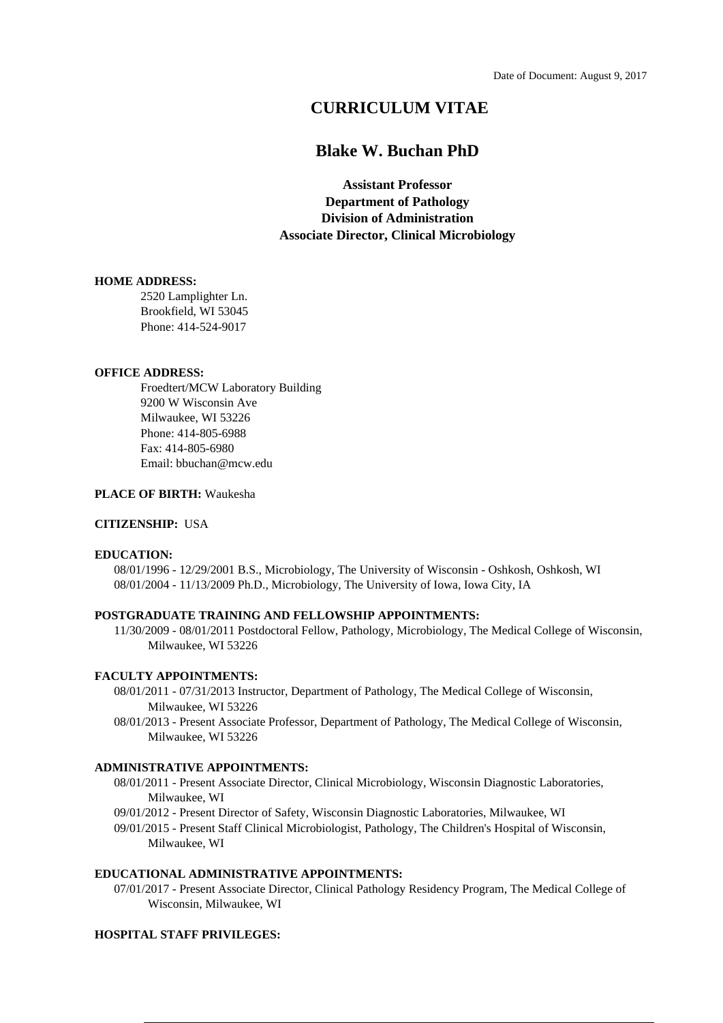# **CURRICULUM VITAE**

# **Blake W. Buchan PhD**

**Assistant Professor Department of Pathology Division of Administration Associate Director, Clinical Microbiology**

### **HOME ADDRESS:**

2520 Lamplighter Ln. Brookfield, WI 53045 Phone: 414-524-9017

### **OFFICE ADDRESS:**

Froedtert/MCW Laboratory Building 9200 W Wisconsin Ave Milwaukee, WI 53226 Phone: 414-805-6988 Fax: 414-805-6980 Email: bbuchan@mcw.edu

#### **PLACE OF BIRTH:** Waukesha

### **CITIZENSHIP:** USA

#### **EDUCATION:**

08/01/1996 - 12/29/2001 B.S., Microbiology, The University of Wisconsin - Oshkosh, Oshkosh, WI 08/01/2004 - 11/13/2009 Ph.D., Microbiology, The University of Iowa, Iowa City, IA

### **POSTGRADUATE TRAINING AND FELLOWSHIP APPOINTMENTS:**

11/30/2009 - 08/01/2011 Postdoctoral Fellow, Pathology, Microbiology, The Medical College of Wisconsin, Milwaukee, WI 53226

### **FACULTY APPOINTMENTS:**

- 08/01/2011 07/31/2013 Instructor, Department of Pathology, The Medical College of Wisconsin, Milwaukee, WI 53226
- 08/01/2013 Present Associate Professor, Department of Pathology, The Medical College of Wisconsin, Milwaukee, WI 53226

### **ADMINISTRATIVE APPOINTMENTS:**

- 08/01/2011 Present Associate Director, Clinical Microbiology, Wisconsin Diagnostic Laboratories, Milwaukee, WI
- 09/01/2012 Present Director of Safety, Wisconsin Diagnostic Laboratories, Milwaukee, WI
- 09/01/2015 Present Staff Clinical Microbiologist, Pathology, The Children's Hospital of Wisconsin, Milwaukee, WI

### **EDUCATIONAL ADMINISTRATIVE APPOINTMENTS:**

07/01/2017 - Present Associate Director, Clinical Pathology Residency Program, The Medical College of Wisconsin, Milwaukee, WI

#### **HOSPITAL STAFF PRIVILEGES:**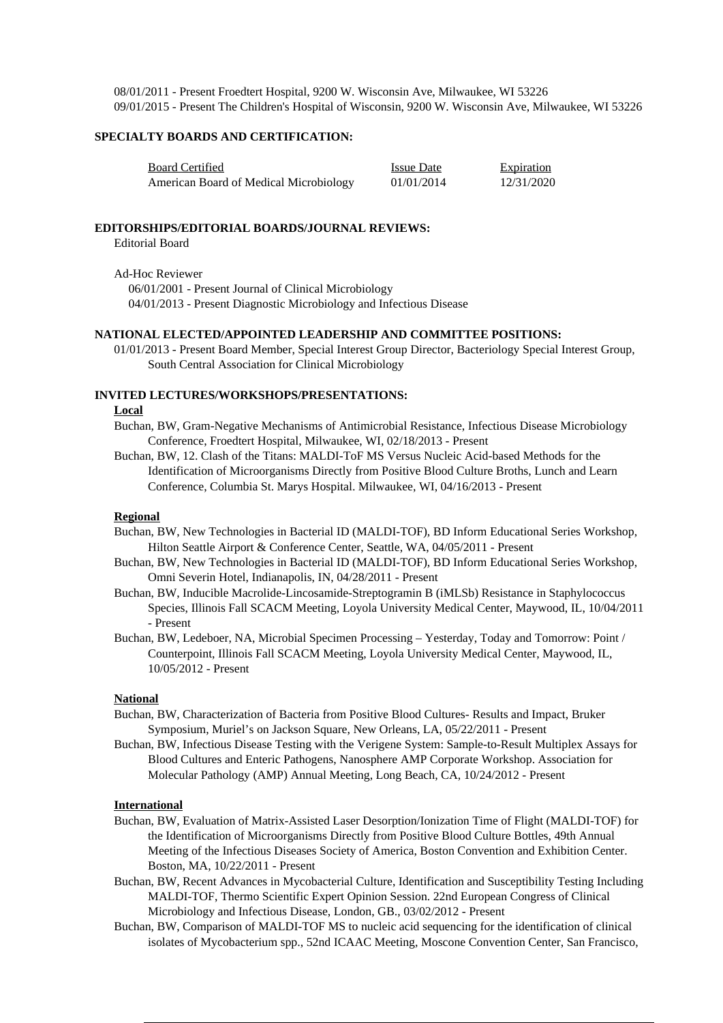08/01/2011 - Present Froedtert Hospital, 9200 W. Wisconsin Ave, Milwaukee, WI 53226 09/01/2015 - Present The Children's Hospital of Wisconsin, 9200 W. Wisconsin Ave, Milwaukee, WI 53226

## **SPECIALTY BOARDS AND CERTIFICATION:**

| <b>Board Certified</b>                 | <b>Issue Date</b> | <b>Expiration</b> |
|----------------------------------------|-------------------|-------------------|
| American Board of Medical Microbiology | 01/01/2014        | 12/31/2020        |

#### **EDITORSHIPS/EDITORIAL BOARDS/JOURNAL REVIEWS:**

Editorial Board

Ad-Hoc Reviewer

06/01/2001 - Present Journal of Clinical Microbiology 04/01/2013 - Present Diagnostic Microbiology and Infectious Disease

### **NATIONAL ELECTED/APPOINTED LEADERSHIP AND COMMITTEE POSITIONS:**

01/01/2013 - Present Board Member, Special Interest Group Director, Bacteriology Special Interest Group, South Central Association for Clinical Microbiology

### **INVITED LECTURES/WORKSHOPS/PRESENTATIONS:**

#### **Local**

Buchan, BW, Gram-Negative Mechanisms of Antimicrobial Resistance, Infectious Disease Microbiology Conference, Froedtert Hospital, Milwaukee, WI, 02/18/2013 - Present

Buchan, BW, 12. Clash of the Titans: MALDI-ToF MS Versus Nucleic Acid-based Methods for the Identification of Microorganisms Directly from Positive Blood Culture Broths, Lunch and Learn Conference, Columbia St. Marys Hospital. Milwaukee, WI, 04/16/2013 - Present

#### **Regional**

- Buchan, BW, New Technologies in Bacterial ID (MALDI-TOF), BD Inform Educational Series Workshop, Hilton Seattle Airport & Conference Center, Seattle, WA, 04/05/2011 - Present
- Buchan, BW, New Technologies in Bacterial ID (MALDI-TOF), BD Inform Educational Series Workshop, Omni Severin Hotel, Indianapolis, IN, 04/28/2011 - Present
- Buchan, BW, Inducible Macrolide-Lincosamide-Streptogramin B (iMLSb) Resistance in Staphylococcus Species, Illinois Fall SCACM Meeting, Loyola University Medical Center, Maywood, IL, 10/04/2011 - Present
- Buchan, BW, Ledeboer, NA, Microbial Specimen Processing Yesterday, Today and Tomorrow: Point / Counterpoint, Illinois Fall SCACM Meeting, Loyola University Medical Center, Maywood, IL, 10/05/2012 - Present

#### **National**

- Buchan, BW, Characterization of Bacteria from Positive Blood Cultures- Results and Impact, Bruker Symposium, Muriel's on Jackson Square, New Orleans, LA, 05/22/2011 - Present
- Buchan, BW, Infectious Disease Testing with the Verigene System: Sample-to-Result Multiplex Assays for Blood Cultures and Enteric Pathogens, Nanosphere AMP Corporate Workshop. Association for Molecular Pathology (AMP) Annual Meeting, Long Beach, CA, 10/24/2012 - Present

### **International**

- Buchan, BW, Evaluation of Matrix-Assisted Laser Desorption/Ionization Time of Flight (MALDI-TOF) for the Identification of Microorganisms Directly from Positive Blood Culture Bottles, 49th Annual Meeting of the Infectious Diseases Society of America, Boston Convention and Exhibition Center. Boston, MA, 10/22/2011 - Present
- Buchan, BW, Recent Advances in Mycobacterial Culture, Identification and Susceptibility Testing Including MALDI-TOF, Thermo Scientific Expert Opinion Session. 22nd European Congress of Clinical Microbiology and Infectious Disease, London, GB., 03/02/2012 - Present
- Buchan, BW, Comparison of MALDI-TOF MS to nucleic acid sequencing for the identification of clinical isolates of Mycobacterium spp., 52nd ICAAC Meeting, Moscone Convention Center, San Francisco,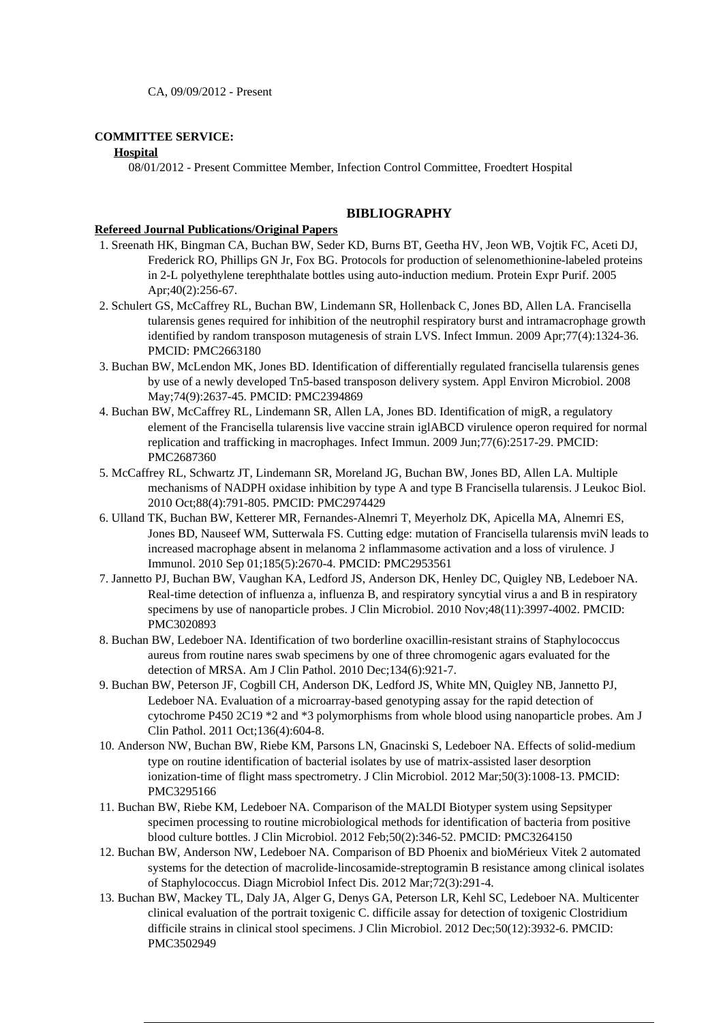CA, 09/09/2012 - Present

### **COMMITTEE SERVICE:**

### **Hospital**

08/01/2012 - Present Committee Member, Infection Control Committee, Froedtert Hospital

## **BIBLIOGRAPHY**

### **Refereed Journal Publications/Original Papers**

- 1. Sreenath HK, Bingman CA, Buchan BW, Seder KD, Burns BT, Geetha HV, Jeon WB, Vojtik FC, Aceti DJ, Frederick RO, Phillips GN Jr, Fox BG. Protocols for production of selenomethionine-labeled proteins in 2-L polyethylene terephthalate bottles using auto-induction medium. Protein Expr Purif. 2005 Apr;40(2):256-67.
- 2. Schulert GS, McCaffrey RL, Buchan BW, Lindemann SR, Hollenback C, Jones BD, Allen LA. Francisella tularensis genes required for inhibition of the neutrophil respiratory burst and intramacrophage growth identified by random transposon mutagenesis of strain LVS. Infect Immun. 2009 Apr;77(4):1324-36. PMCID: PMC2663180
- 3. Buchan BW, McLendon MK, Jones BD. Identification of differentially regulated francisella tularensis genes by use of a newly developed Tn5-based transposon delivery system. Appl Environ Microbiol. 2008 May;74(9):2637-45. PMCID: PMC2394869
- 4. Buchan BW, McCaffrey RL, Lindemann SR, Allen LA, Jones BD. Identification of migR, a regulatory element of the Francisella tularensis live vaccine strain iglABCD virulence operon required for normal replication and trafficking in macrophages. Infect Immun. 2009 Jun;77(6):2517-29. PMCID: PMC2687360
- 5. McCaffrey RL, Schwartz JT, Lindemann SR, Moreland JG, Buchan BW, Jones BD, Allen LA. Multiple mechanisms of NADPH oxidase inhibition by type A and type B Francisella tularensis. J Leukoc Biol. 2010 Oct;88(4):791-805. PMCID: PMC2974429
- 6. Ulland TK, Buchan BW, Ketterer MR, Fernandes-Alnemri T, Meyerholz DK, Apicella MA, Alnemri ES, Jones BD, Nauseef WM, Sutterwala FS. Cutting edge: mutation of Francisella tularensis mviN leads to increased macrophage absent in melanoma 2 inflammasome activation and a loss of virulence. J Immunol. 2010 Sep 01;185(5):2670-4. PMCID: PMC2953561
- 7. Jannetto PJ, Buchan BW, Vaughan KA, Ledford JS, Anderson DK, Henley DC, Quigley NB, Ledeboer NA. Real-time detection of influenza a, influenza B, and respiratory syncytial virus a and B in respiratory specimens by use of nanoparticle probes. J Clin Microbiol. 2010 Nov;48(11):3997-4002. PMCID: PMC3020893
- 8. Buchan BW, Ledeboer NA. Identification of two borderline oxacillin-resistant strains of Staphylococcus aureus from routine nares swab specimens by one of three chromogenic agars evaluated for the detection of MRSA. Am J Clin Pathol. 2010 Dec;134(6):921-7.
- 9. Buchan BW, Peterson JF, Cogbill CH, Anderson DK, Ledford JS, White MN, Quigley NB, Jannetto PJ, Ledeboer NA. Evaluation of a microarray-based genotyping assay for the rapid detection of cytochrome P450 2C19 \*2 and \*3 polymorphisms from whole blood using nanoparticle probes. Am J Clin Pathol. 2011 Oct;136(4):604-8.
- 10. Anderson NW, Buchan BW, Riebe KM, Parsons LN, Gnacinski S, Ledeboer NA. Effects of solid-medium type on routine identification of bacterial isolates by use of matrix-assisted laser desorption ionization-time of flight mass spectrometry. J Clin Microbiol. 2012 Mar;50(3):1008-13. PMCID: PMC3295166
- 11. Buchan BW, Riebe KM, Ledeboer NA. Comparison of the MALDI Biotyper system using Sepsityper specimen processing to routine microbiological methods for identification of bacteria from positive blood culture bottles. J Clin Microbiol. 2012 Feb;50(2):346-52. PMCID: PMC3264150
- 12. Buchan BW, Anderson NW, Ledeboer NA. Comparison of BD Phoenix and bioMérieux Vitek 2 automated systems for the detection of macrolide-lincosamide-streptogramin B resistance among clinical isolates of Staphylococcus. Diagn Microbiol Infect Dis. 2012 Mar;72(3):291-4.
- 13. Buchan BW, Mackey TL, Daly JA, Alger G, Denys GA, Peterson LR, Kehl SC, Ledeboer NA. Multicenter clinical evaluation of the portrait toxigenic C. difficile assay for detection of toxigenic Clostridium difficile strains in clinical stool specimens. J Clin Microbiol. 2012 Dec;50(12):3932-6. PMCID: PMC3502949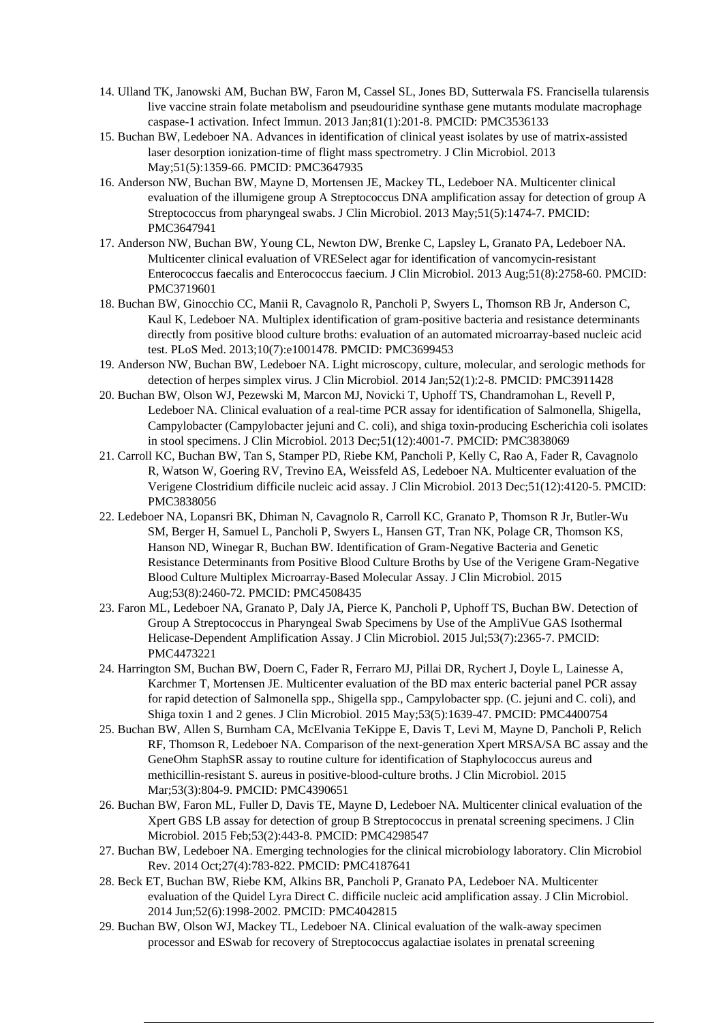- 14. Ulland TK, Janowski AM, Buchan BW, Faron M, Cassel SL, Jones BD, Sutterwala FS. Francisella tularensis live vaccine strain folate metabolism and pseudouridine synthase gene mutants modulate macrophage caspase-1 activation. Infect Immun. 2013 Jan;81(1):201-8. PMCID: PMC3536133
- 15. Buchan BW, Ledeboer NA. Advances in identification of clinical yeast isolates by use of matrix-assisted laser desorption ionization-time of flight mass spectrometry. J Clin Microbiol. 2013 May;51(5):1359-66. PMCID: PMC3647935
- 16. Anderson NW, Buchan BW, Mayne D, Mortensen JE, Mackey TL, Ledeboer NA. Multicenter clinical evaluation of the illumigene group A Streptococcus DNA amplification assay for detection of group A Streptococcus from pharyngeal swabs. J Clin Microbiol. 2013 May;51(5):1474-7. PMCID: PMC3647941
- 17. Anderson NW, Buchan BW, Young CL, Newton DW, Brenke C, Lapsley L, Granato PA, Ledeboer NA. Multicenter clinical evaluation of VRESelect agar for identification of vancomycin-resistant Enterococcus faecalis and Enterococcus faecium. J Clin Microbiol. 2013 Aug;51(8):2758-60. PMCID: PMC3719601
- 18. Buchan BW, Ginocchio CC, Manii R, Cavagnolo R, Pancholi P, Swyers L, Thomson RB Jr, Anderson C, Kaul K, Ledeboer NA. Multiplex identification of gram-positive bacteria and resistance determinants directly from positive blood culture broths: evaluation of an automated microarray-based nucleic acid test. PLoS Med. 2013;10(7):e1001478. PMCID: PMC3699453
- 19. Anderson NW, Buchan BW, Ledeboer NA. Light microscopy, culture, molecular, and serologic methods for detection of herpes simplex virus. J Clin Microbiol. 2014 Jan;52(1):2-8. PMCID: PMC3911428
- 20. Buchan BW, Olson WJ, Pezewski M, Marcon MJ, Novicki T, Uphoff TS, Chandramohan L, Revell P, Ledeboer NA. Clinical evaluation of a real-time PCR assay for identification of Salmonella, Shigella, Campylobacter (Campylobacter jejuni and C. coli), and shiga toxin-producing Escherichia coli isolates in stool specimens. J Clin Microbiol. 2013 Dec;51(12):4001-7. PMCID: PMC3838069
- 21. Carroll KC, Buchan BW, Tan S, Stamper PD, Riebe KM, Pancholi P, Kelly C, Rao A, Fader R, Cavagnolo R, Watson W, Goering RV, Trevino EA, Weissfeld AS, Ledeboer NA. Multicenter evaluation of the Verigene Clostridium difficile nucleic acid assay. J Clin Microbiol. 2013 Dec;51(12):4120-5. PMCID: PMC3838056
- 22. Ledeboer NA, Lopansri BK, Dhiman N, Cavagnolo R, Carroll KC, Granato P, Thomson R Jr, Butler-Wu SM, Berger H, Samuel L, Pancholi P, Swyers L, Hansen GT, Tran NK, Polage CR, Thomson KS, Hanson ND, Winegar R, Buchan BW. Identification of Gram-Negative Bacteria and Genetic Resistance Determinants from Positive Blood Culture Broths by Use of the Verigene Gram-Negative Blood Culture Multiplex Microarray-Based Molecular Assay. J Clin Microbiol. 2015 Aug;53(8):2460-72. PMCID: PMC4508435
- 23. Faron ML, Ledeboer NA, Granato P, Daly JA, Pierce K, Pancholi P, Uphoff TS, Buchan BW. Detection of Group A Streptococcus in Pharyngeal Swab Specimens by Use of the AmpliVue GAS Isothermal Helicase-Dependent Amplification Assay. J Clin Microbiol. 2015 Jul;53(7):2365-7. PMCID: PMC4473221
- 24. Harrington SM, Buchan BW, Doern C, Fader R, Ferraro MJ, Pillai DR, Rychert J, Doyle L, Lainesse A, Karchmer T, Mortensen JE. Multicenter evaluation of the BD max enteric bacterial panel PCR assay for rapid detection of Salmonella spp., Shigella spp., Campylobacter spp. (C. jejuni and C. coli), and Shiga toxin 1 and 2 genes. J Clin Microbiol. 2015 May;53(5):1639-47. PMCID: PMC4400754
- 25. Buchan BW, Allen S, Burnham CA, McElvania TeKippe E, Davis T, Levi M, Mayne D, Pancholi P, Relich RF, Thomson R, Ledeboer NA. Comparison of the next-generation Xpert MRSA/SA BC assay and the GeneOhm StaphSR assay to routine culture for identification of Staphylococcus aureus and methicillin-resistant S. aureus in positive-blood-culture broths. J Clin Microbiol. 2015 Mar;53(3):804-9. PMCID: PMC4390651
- 26. Buchan BW, Faron ML, Fuller D, Davis TE, Mayne D, Ledeboer NA. Multicenter clinical evaluation of the Xpert GBS LB assay for detection of group B Streptococcus in prenatal screening specimens. J Clin Microbiol. 2015 Feb;53(2):443-8. PMCID: PMC4298547
- 27. Buchan BW, Ledeboer NA. Emerging technologies for the clinical microbiology laboratory. Clin Microbiol Rev. 2014 Oct;27(4):783-822. PMCID: PMC4187641
- 28. Beck ET, Buchan BW, Riebe KM, Alkins BR, Pancholi P, Granato PA, Ledeboer NA. Multicenter evaluation of the Quidel Lyra Direct C. difficile nucleic acid amplification assay. J Clin Microbiol. 2014 Jun;52(6):1998-2002. PMCID: PMC4042815
- 29. Buchan BW, Olson WJ, Mackey TL, Ledeboer NA. Clinical evaluation of the walk-away specimen processor and ESwab for recovery of Streptococcus agalactiae isolates in prenatal screening